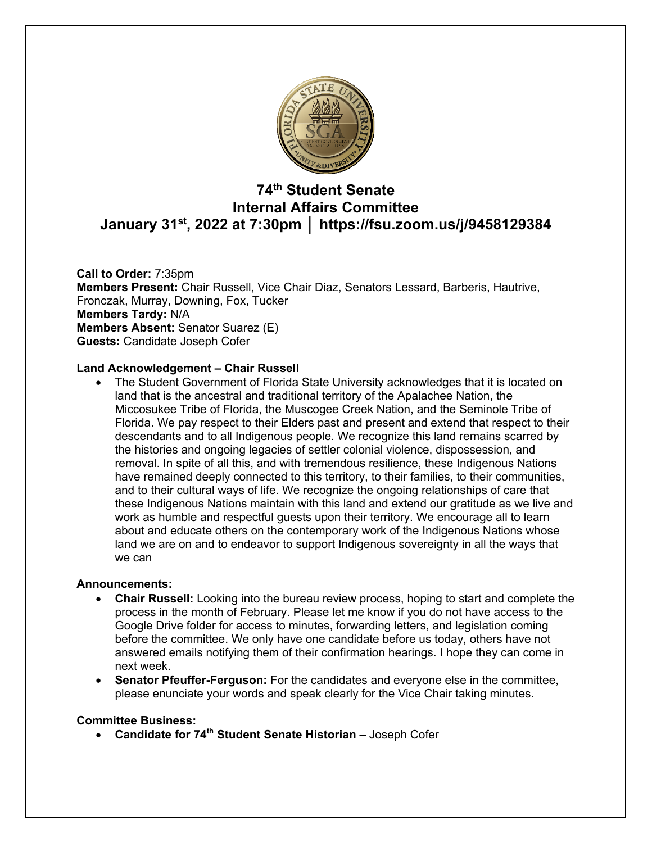

# **74th Student Senate Internal Affairs Committee January 31st, 2022 at 7:30pm │ https://fsu.zoom.us/j/9458129384**

**Call to Order:** 7:35pm **Members Present:** Chair Russell, Vice Chair Diaz, Senators Lessard, Barberis, Hautrive, Fronczak, Murray, Downing, Fox, Tucker **Members Tardy:** N/A **Members Absent:** Senator Suarez (E) **Guests:** Candidate Joseph Cofer

#### **Land Acknowledgement – Chair Russell**

• The Student Government of Florida State University acknowledges that it is located on land that is the ancestral and traditional territory of the Apalachee Nation, the Miccosukee Tribe of Florida, the Muscogee Creek Nation, and the Seminole Tribe of Florida. We pay respect to their Elders past and present and extend that respect to their descendants and to all Indigenous people. We recognize this land remains scarred by the histories and ongoing legacies of settler colonial violence, dispossession, and removal. In spite of all this, and with tremendous resilience, these Indigenous Nations have remained deeply connected to this territory, to their families, to their communities, and to their cultural ways of life. We recognize the ongoing relationships of care that these Indigenous Nations maintain with this land and extend our gratitude as we live and work as humble and respectful guests upon their territory. We encourage all to learn about and educate others on the contemporary work of the Indigenous Nations whose land we are on and to endeavor to support Indigenous sovereignty in all the ways that we can

#### **Announcements:**

- **Chair Russell:** Looking into the bureau review process, hoping to start and complete the process in the month of February. Please let me know if you do not have access to the Google Drive folder for access to minutes, forwarding letters, and legislation coming before the committee. We only have one candidate before us today, others have not answered emails notifying them of their confirmation hearings. I hope they can come in next week.
- **Senator Pfeuffer-Ferguson:** For the candidates and everyone else in the committee, please enunciate your words and speak clearly for the Vice Chair taking minutes.

#### **Committee Business:**

• **Candidate for 74th Student Senate Historian –** Joseph Cofer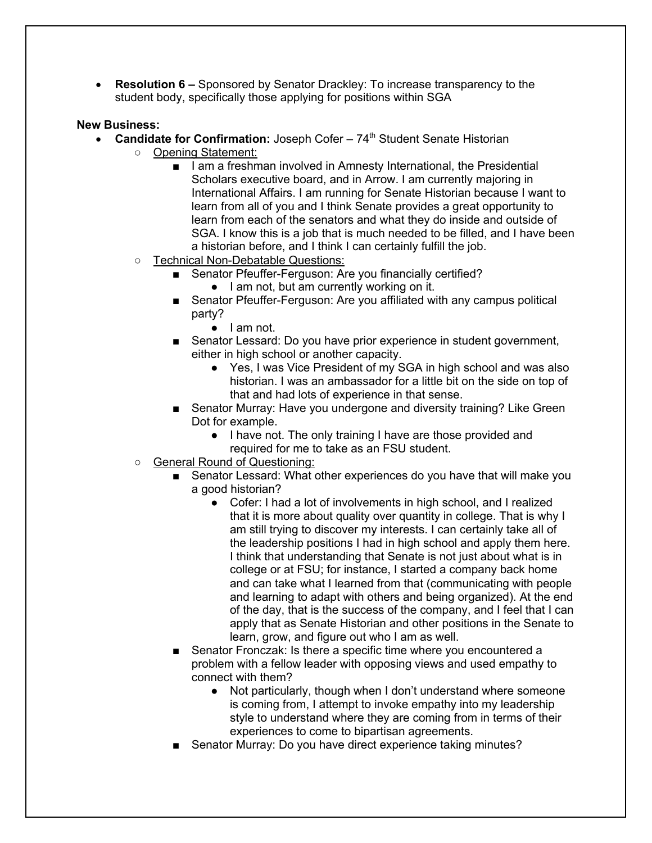• **Resolution 6 –** Sponsored by Senator Drackley: To increase transparency to the student body, specifically those applying for positions within SGA

#### **New Business:**

- **Candidate for Confirmation:** Joseph Cofer 74<sup>th</sup> Student Senate Historian
	- Opening Statement:
		- I am a freshman involved in Amnesty International, the Presidential Scholars executive board, and in Arrow. I am currently majoring in International Affairs. I am running for Senate Historian because I want to learn from all of you and I think Senate provides a great opportunity to learn from each of the senators and what they do inside and outside of SGA. I know this is a job that is much needed to be filled, and I have been a historian before, and I think I can certainly fulfill the job.
	- Technical Non-Debatable Questions:
		- Senator Pfeuffer-Ferguson: Are you financially certified?
			- I am not, but am currently working on it.
		- Senator Pfeuffer-Ferguson: Are you affiliated with any campus political party?
			- I am not.
		- Senator Lessard: Do you have prior experience in student government, either in high school or another capacity.
			- Yes, I was Vice President of my SGA in high school and was also historian. I was an ambassador for a little bit on the side on top of that and had lots of experience in that sense.
		- Senator Murray: Have you undergone and diversity training? Like Green Dot for example.
			- I have not. The only training I have are those provided and required for me to take as an FSU student.
	- General Round of Questioning:
		- Senator Lessard: What other experiences do you have that will make you a good historian?
			- Cofer: I had a lot of involvements in high school, and I realized that it is more about quality over quantity in college. That is why I am still trying to discover my interests. I can certainly take all of the leadership positions I had in high school and apply them here. I think that understanding that Senate is not just about what is in college or at FSU; for instance, I started a company back home and can take what I learned from that (communicating with people and learning to adapt with others and being organized). At the end of the day, that is the success of the company, and I feel that I can apply that as Senate Historian and other positions in the Senate to learn, grow, and figure out who I am as well.
		- Senator Fronczak: Is there a specific time where you encountered a problem with a fellow leader with opposing views and used empathy to connect with them?
			- Not particularly, though when I don't understand where someone is coming from, I attempt to invoke empathy into my leadership style to understand where they are coming from in terms of their experiences to come to bipartisan agreements.
		- Senator Murray: Do you have direct experience taking minutes?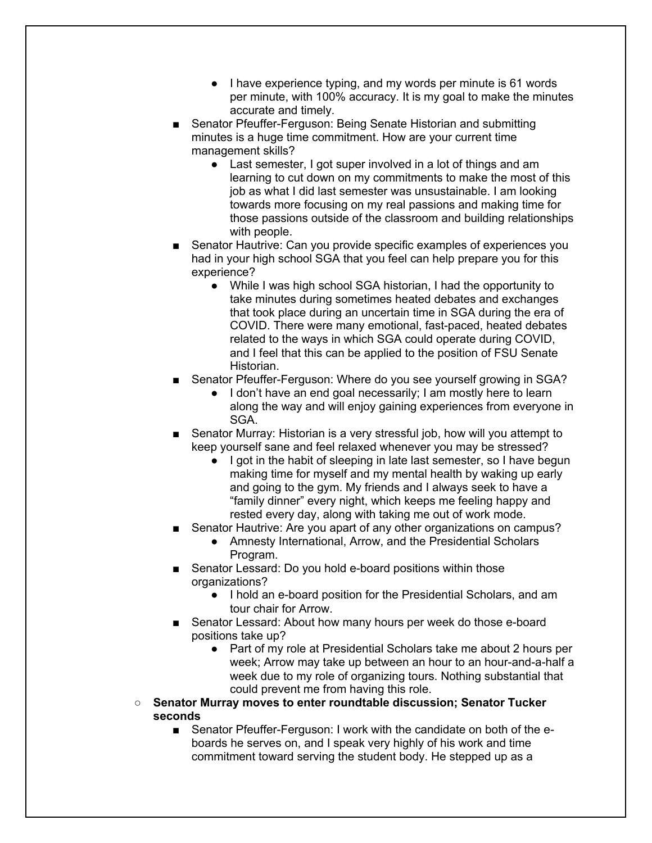- I have experience typing, and my words per minute is 61 words per minute, with 100% accuracy. It is my goal to make the minutes accurate and timely.
- Senator Pfeuffer-Ferguson: Being Senate Historian and submitting minutes is a huge time commitment. How are your current time management skills?
	- Last semester, I got super involved in a lot of things and am learning to cut down on my commitments to make the most of this job as what I did last semester was unsustainable. I am looking towards more focusing on my real passions and making time for those passions outside of the classroom and building relationships with people.
- Senator Hautrive: Can you provide specific examples of experiences you had in your high school SGA that you feel can help prepare you for this experience?
	- While I was high school SGA historian, I had the opportunity to take minutes during sometimes heated debates and exchanges that took place during an uncertain time in SGA during the era of COVID. There were many emotional, fast-paced, heated debates related to the ways in which SGA could operate during COVID, and I feel that this can be applied to the position of FSU Senate Historian.
- Senator Pfeuffer-Ferguson: Where do you see yourself growing in SGA?
	- I don't have an end goal necessarily; I am mostly here to learn along the way and will enjoy gaining experiences from everyone in SGA.
- Senator Murray: Historian is a very stressful job, how will you attempt to keep yourself sane and feel relaxed whenever you may be stressed?
	- I got in the habit of sleeping in late last semester, so I have begun making time for myself and my mental health by waking up early and going to the gym. My friends and I always seek to have a "family dinner" every night, which keeps me feeling happy and rested every day, along with taking me out of work mode.
- Senator Hautrive: Are you apart of any other organizations on campus?
	- Amnesty International, Arrow, and the Presidential Scholars Program.
- Senator Lessard: Do you hold e-board positions within those organizations?
	- I hold an e-board position for the Presidential Scholars, and am tour chair for Arrow.
- Senator Lessard: About how many hours per week do those e-board positions take up?
	- Part of my role at Presidential Scholars take me about 2 hours per week; Arrow may take up between an hour to an hour-and-a-half a week due to my role of organizing tours. Nothing substantial that could prevent me from having this role.
- **Senator Murray moves to enter roundtable discussion; Senator Tucker seconds**
	- Senator Pfeuffer-Ferguson: I work with the candidate on both of the eboards he serves on, and I speak very highly of his work and time commitment toward serving the student body. He stepped up as a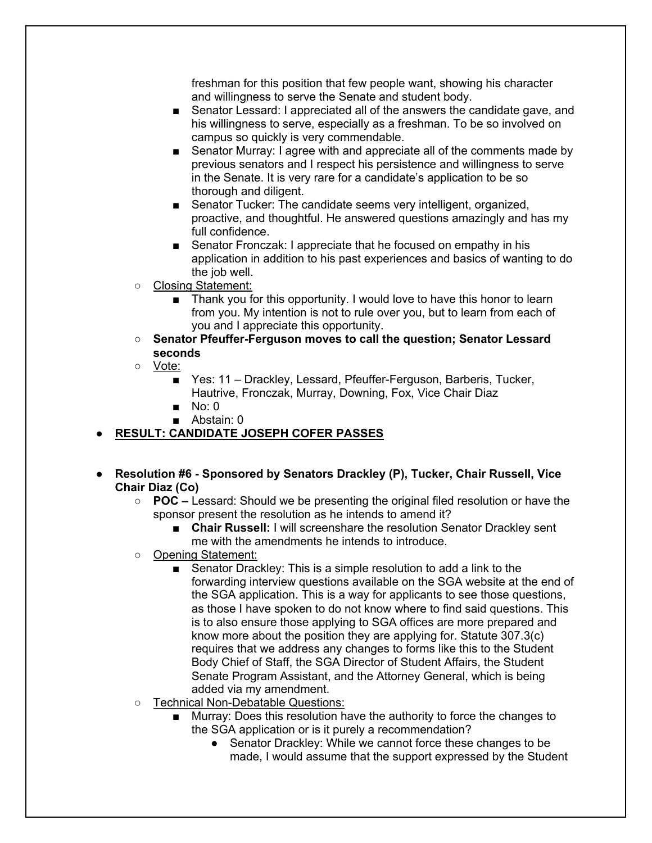freshman for this position that few people want, showing his character and willingness to serve the Senate and student body.

- Senator Lessard: I appreciated all of the answers the candidate gave, and his willingness to serve, especially as a freshman. To be so involved on campus so quickly is very commendable.
- Senator Murray: I agree with and appreciate all of the comments made by previous senators and I respect his persistence and willingness to serve in the Senate. It is very rare for a candidate's application to be so thorough and diligent.
- Senator Tucker: The candidate seems very intelligent, organized, proactive, and thoughtful. He answered questions amazingly and has my full confidence.
- Senator Fronczak: I appreciate that he focused on empathy in his application in addition to his past experiences and basics of wanting to do the job well.
- Closing Statement:
	- Thank you for this opportunity. I would love to have this honor to learn from you. My intention is not to rule over you, but to learn from each of you and I appreciate this opportunity.
- **Senator Pfeuffer-Ferguson moves to call the question; Senator Lessard seconds**
- Vote:
	- Yes: 11 Drackley, Lessard, Pfeuffer-Ferguson, Barberis, Tucker, Hautrive, Fronczak, Murray, Downing, Fox, Vice Chair Diaz
	- No: 0
	- Abstain: 0

## ● **RESULT: CANDIDATE JOSEPH COFER PASSES**

- **Resolution #6 - Sponsored by Senators Drackley (P), Tucker, Chair Russell, Vice Chair Diaz (Co)**
	- **POC –** Lessard: Should we be presenting the original filed resolution or have the sponsor present the resolution as he intends to amend it?
		- **Chair Russell:** I will screenshare the resolution Senator Drackley sent me with the amendments he intends to introduce.
	- Opening Statement:
		- Senator Drackley: This is a simple resolution to add a link to the forwarding interview questions available on the SGA website at the end of the SGA application. This is a way for applicants to see those questions, as those I have spoken to do not know where to find said questions. This is to also ensure those applying to SGA offices are more prepared and know more about the position they are applying for. Statute 307.3(c) requires that we address any changes to forms like this to the Student Body Chief of Staff, the SGA Director of Student Affairs, the Student Senate Program Assistant, and the Attorney General, which is being added via my amendment.
	- Technical Non-Debatable Questions:
		- Murray: Does this resolution have the authority to force the changes to the SGA application or is it purely a recommendation?
			- Senator Drackley: While we cannot force these changes to be made, I would assume that the support expressed by the Student